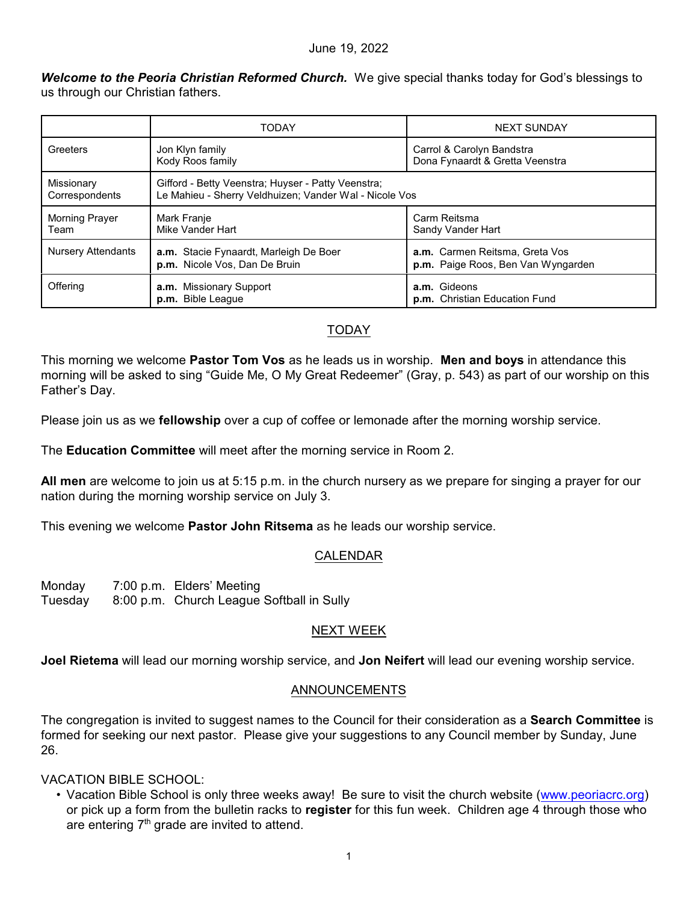#### June 19, 2022

*Welcome to the Peoria Christian Reformed Church.* We give special thanks today for God's blessings to us through our Christian fathers.

|                               | <b>TODAY</b>                                                                                                 | <b>NEXT SUNDAY</b>                                                   |
|-------------------------------|--------------------------------------------------------------------------------------------------------------|----------------------------------------------------------------------|
| Greeters                      | Jon Klyn family<br>Kody Roos family                                                                          | Carrol & Carolyn Bandstra<br>Dona Fynaardt & Gretta Veenstra         |
| Missionary<br>Correspondents  | Gifford - Betty Veenstra; Huyser - Patty Veenstra;<br>Le Mahieu - Sherry Veldhuizen; Vander Wal - Nicole Vos |                                                                      |
| <b>Morning Prayer</b><br>Team | Mark Franje<br>Mike Vander Hart                                                                              | Carm Reitsma<br>Sandy Vander Hart                                    |
| <b>Nursery Attendants</b>     | a.m. Stacie Fynaardt, Marleigh De Boer<br>p.m. Nicole Vos, Dan De Bruin                                      | a.m. Carmen Reitsma, Greta Vos<br>p.m. Paige Roos, Ben Van Wyngarden |
| Offering                      | a.m. Missionary Support<br>p.m. Bible League                                                                 | a.m. Gideons<br>p.m. Christian Education Fund                        |

#### TODAY

This morning we welcome **Pastor Tom Vos** as he leads us in worship. **Men and boys** in attendance this morning will be asked to sing "Guide Me, O My Great Redeemer" (Gray, p. 543) as part of our worship on this Father's Day.

Please join us as we **fellowship** over a cup of coffee or lemonade after the morning worship service.

The **Education Committee** will meet after the morning service in Room 2.

**All men** are welcome to join us at 5:15 p.m. in the church nursery as we prepare for singing a prayer for our nation during the morning worship service on July 3.

This evening we welcome **Pastor John Ritsema** as he leads our worship service.

## CALENDAR

Monday 7:00 p.m. Elders' Meeting Tuesday 8:00 p.m. Church League Softball in Sully

## NEXT WEEK

**Joel Rietema** will lead our morning worship service, and **Jon Neifert** will lead our evening worship service.

## ANNOUNCEMENTS

The congregation is invited to suggest names to the Council for their consideration as a **Search Committee** is formed for seeking our next pastor. Please give your suggestions to any Council member by Sunday, June 26.

## VACATION BIBLE SCHOOL:

• Vacation Bible School is only three weeks away! Be sure to visit the church website [\(www.peoriacrc.org](http://www.peoriacrc.org)) or pick up a form from the bulletin racks to **register** for this fun week. Children age 4 through those who are entering  $7<sup>th</sup>$  grade are invited to attend.